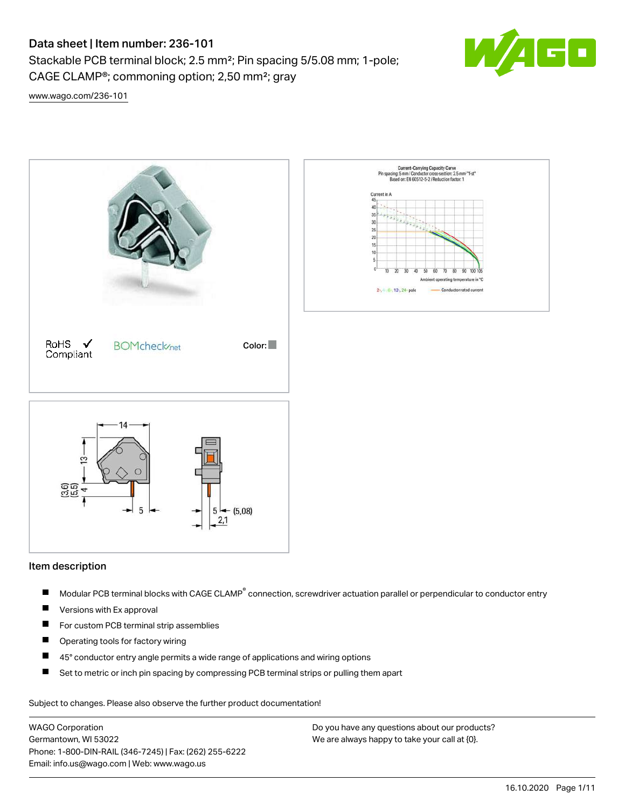# Data sheet | Item number: 236-101

Stackable PCB terminal block; 2.5 mm²; Pin spacing 5/5.08 mm; 1-pole; CAGE CLAMP®; commoning option; 2,50 mm²; gray



[www.wago.com/236-101](http://www.wago.com/236-101)



### Item description

- Modular PCB terminal blocks with CAGE CLAMP<sup>®</sup> connection, screwdriver actuation parallel or perpendicular to conductor entry П
- $\blacksquare$ Versions with Ex approval
- $\blacksquare$ For custom PCB terminal strip assemblies
- $\blacksquare$ Operating tools for factory wiring
- $\blacksquare$ 45° conductor entry angle permits a wide range of applications and wiring options
- $\blacksquare$ Set to metric or inch pin spacing by compressing PCB terminal strips or pulling them apart

Subject to changes. Please also observe the further product documentation!

WAGO Corporation Germantown, WI 53022 Phone: 1-800-DIN-RAIL (346-7245) | Fax: (262) 255-6222 Email: info.us@wago.com | Web: www.wago.us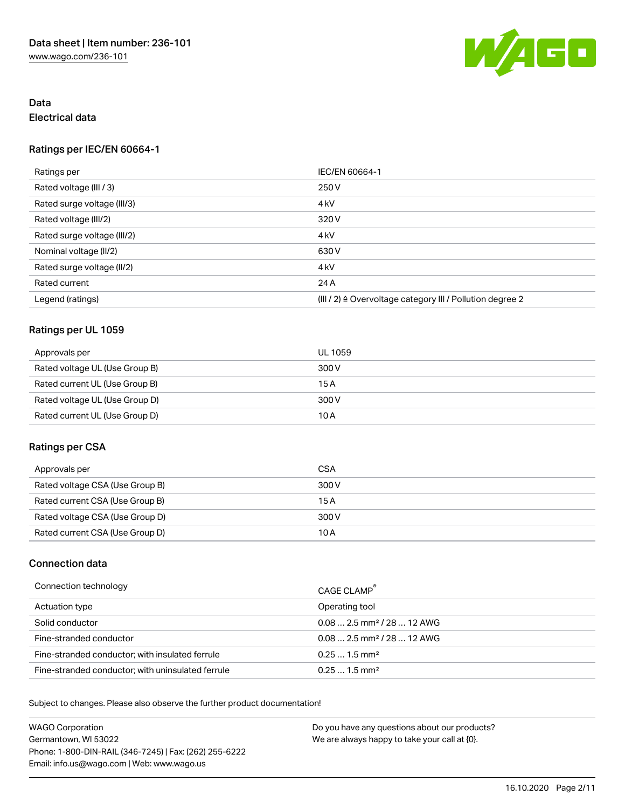

# Data Electrical data

## Ratings per IEC/EN 60664-1

| Ratings per                 | IEC/EN 60664-1                                            |
|-----------------------------|-----------------------------------------------------------|
| Rated voltage (III / 3)     | 250 V                                                     |
| Rated surge voltage (III/3) | 4 <sub>k</sub> V                                          |
| Rated voltage (III/2)       | 320 V                                                     |
| Rated surge voltage (III/2) | 4 <sub>k</sub> V                                          |
| Nominal voltage (II/2)      | 630 V                                                     |
| Rated surge voltage (II/2)  | 4 <sub>k</sub> V                                          |
| Rated current               | 24 A                                                      |
| Legend (ratings)            | (III / 2) ≙ Overvoltage category III / Pollution degree 2 |

# Ratings per UL 1059

| Approvals per                  | UL 1059 |
|--------------------------------|---------|
| Rated voltage UL (Use Group B) | 300 V   |
| Rated current UL (Use Group B) | 15 A    |
| Rated voltage UL (Use Group D) | 300 V   |
| Rated current UL (Use Group D) | 10 A    |

## Ratings per CSA

| Approvals per                   | CSA   |
|---------------------------------|-------|
| Rated voltage CSA (Use Group B) | 300 V |
| Rated current CSA (Use Group B) | 15 A  |
| Rated voltage CSA (Use Group D) | 300 V |
| Rated current CSA (Use Group D) | 10 A  |

# Connection data

| Connection technology                             | CAGE CLAMP <sup>®</sup>                 |
|---------------------------------------------------|-----------------------------------------|
| Actuation type                                    | Operating tool                          |
| Solid conductor                                   | $0.08$ 2.5 mm <sup>2</sup> / 28  12 AWG |
| Fine-stranded conductor                           | $0.08$ 2.5 mm <sup>2</sup> / 28  12 AWG |
| Fine-stranded conductor; with insulated ferrule   | $0.251.5$ mm <sup>2</sup>               |
| Fine-stranded conductor; with uninsulated ferrule | $0.251.5$ mm <sup>2</sup>               |

Subject to changes. Please also observe the further product documentation!

WAGO Corporation Germantown, WI 53022 Phone: 1-800-DIN-RAIL (346-7245) | Fax: (262) 255-6222 Email: info.us@wago.com | Web: www.wago.us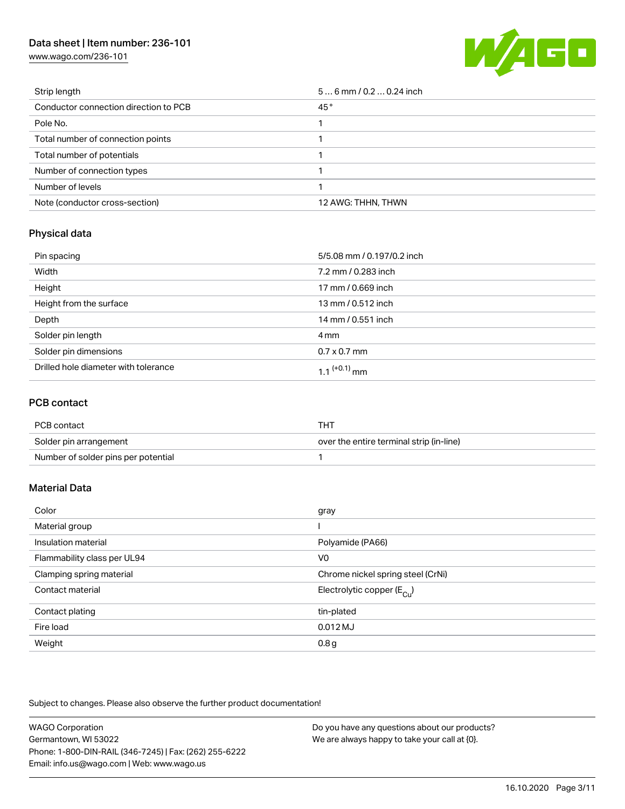# Data sheet | Item number: 236-101

[www.wago.com/236-101](http://www.wago.com/236-101)



| Strip length                          | $56$ mm / 0.2  0.24 inch |
|---------------------------------------|--------------------------|
| Conductor connection direction to PCB | 45°                      |
| Pole No.                              |                          |
| Total number of connection points     |                          |
| Total number of potentials            |                          |
| Number of connection types            |                          |
| Number of levels                      |                          |
| Note (conductor cross-section)        | 12 AWG: THHN, THWN       |

## Physical data

| Pin spacing                          | 5/5.08 mm / 0.197/0.2 inch |
|--------------------------------------|----------------------------|
| Width                                | 7.2 mm / 0.283 inch        |
| Height                               | 17 mm / 0.669 inch         |
| Height from the surface              | 13 mm / 0.512 inch         |
| Depth                                | 14 mm / 0.551 inch         |
| Solder pin length                    | 4 mm                       |
| Solder pin dimensions                | $0.7 \times 0.7$ mm        |
| Drilled hole diameter with tolerance | 1 1 $(+0.1)$ mm            |

### PCB contact

| PCB contact                         | тнт                                      |
|-------------------------------------|------------------------------------------|
| Solder pin arrangement              | over the entire terminal strip (in-line) |
| Number of solder pins per potential |                                          |

## Material Data

| Color                       | gray                                  |
|-----------------------------|---------------------------------------|
| Material group              |                                       |
| Insulation material         | Polyamide (PA66)                      |
| Flammability class per UL94 | V <sub>0</sub>                        |
| Clamping spring material    | Chrome nickel spring steel (CrNi)     |
| Contact material            | Electrolytic copper $(E_{\text{Cl}})$ |
| Contact plating             | tin-plated                            |
| Fire load                   | $0.012$ MJ                            |
| Weight                      | 0.8 <sub>g</sub>                      |

Subject to changes. Please also observe the further product documentation!

| <b>WAGO Corporation</b>                                | Do you have any questions about our products? |
|--------------------------------------------------------|-----------------------------------------------|
| Germantown, WI 53022                                   | We are always happy to take your call at {0}. |
| Phone: 1-800-DIN-RAIL (346-7245)   Fax: (262) 255-6222 |                                               |
| Email: info.us@wago.com   Web: www.wago.us             |                                               |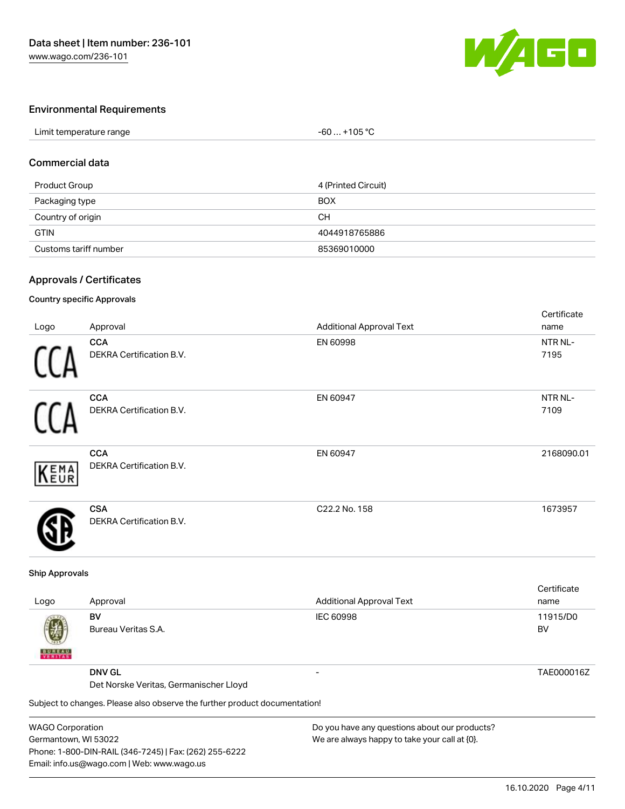

## Environmental Requirements

| Limit temperature range | +105 °C<br>-60 |  |
|-------------------------|----------------|--|

### Commercial data

| Product Group         | 4 (Printed Circuit) |
|-----------------------|---------------------|
| Packaging type        | <b>BOX</b>          |
| Country of origin     | CН                  |
| <b>GTIN</b>           | 4044918765886       |
| Customs tariff number | 85369010000         |

### Approvals / Certificates

### Country specific Approvals

| Logo       | Approval                                      | <b>Additional Approval Text</b> | Certificate<br>name |
|------------|-----------------------------------------------|---------------------------------|---------------------|
|            | <b>CCA</b><br><b>DEKRA Certification B.V.</b> | EN 60998                        | NTR NL-<br>7195     |
|            | <b>CCA</b><br>DEKRA Certification B.V.        | EN 60947                        | NTR NL-<br>7109     |
| EMA<br>EUR | <b>CCA</b><br>DEKRA Certification B.V.        | EN 60947                        | 2168090.01          |
|            | <b>CSA</b><br><b>DEKRA Certification B.V.</b> | C22.2 No. 158                   | 1673957             |

#### Ship Approvals

| Logo               | Approval                                                                   | <b>Additional Approval Text</b>               | Certificate<br>name |
|--------------------|----------------------------------------------------------------------------|-----------------------------------------------|---------------------|
| Ø<br><b>BUREAU</b> | BV<br>Bureau Veritas S.A.                                                  | <b>IEC 60998</b>                              | 11915/D0<br>BV      |
|                    | <b>DNV GL</b><br>Det Norske Veritas, Germanischer Lloyd                    |                                               | TAE000016Z          |
|                    | Subject to changes. Please also observe the further product documentation! |                                               |                     |
| MACO Corporation   |                                                                            | Do vou bavo any questions about our products? |                     |

WAGO Corporation Germantown, WI 53022 Phone: 1-800-DIN-RAIL (346-7245) | Fax: (262) 255-6222 Email: info.us@wago.com | Web: www.wago.us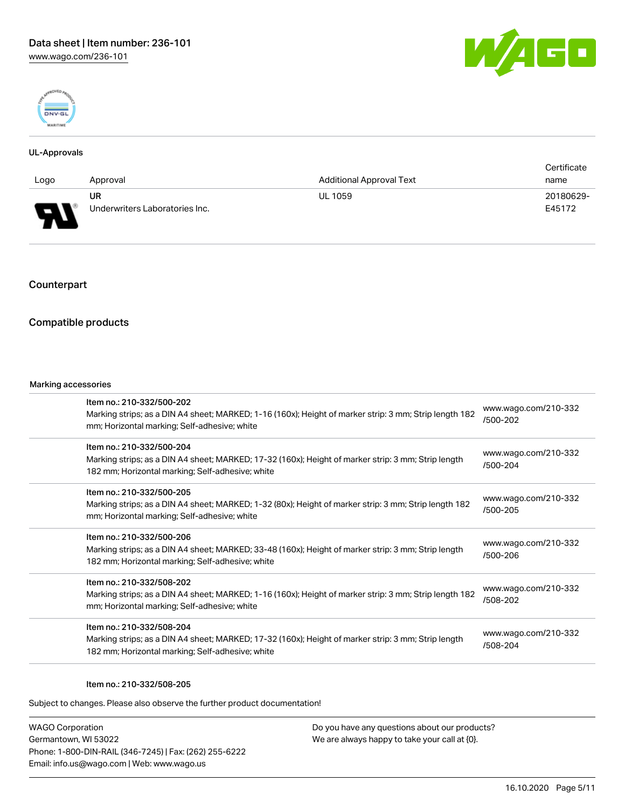



### UL-Approvals

|      |                                |                                 | Certificate |
|------|--------------------------------|---------------------------------|-------------|
| Logo | Approval                       | <b>Additional Approval Text</b> | name        |
|      | UR                             | <b>UL 1059</b>                  | 20180629-   |
| D    | Underwriters Laboratories Inc. |                                 | E45172      |

# Counterpart

## Compatible products

#### Marking accessories

| Item no.: 210-332/500-202<br>Marking strips; as a DIN A4 sheet; MARKED; 1-16 (160x); Height of marker strip: 3 mm; Strip length 182<br>mm; Horizontal marking; Self-adhesive; white  | www.wago.com/210-332<br>/500-202 |
|--------------------------------------------------------------------------------------------------------------------------------------------------------------------------------------|----------------------------------|
| Item no.: 210-332/500-204<br>Marking strips; as a DIN A4 sheet; MARKED; 17-32 (160x); Height of marker strip: 3 mm; Strip length<br>182 mm; Horizontal marking; Self-adhesive; white | www.wago.com/210-332<br>/500-204 |
| Item no.: 210-332/500-205<br>Marking strips; as a DIN A4 sheet; MARKED; 1-32 (80x); Height of marker strip: 3 mm; Strip length 182<br>mm; Horizontal marking; Self-adhesive; white   | www.wago.com/210-332<br>/500-205 |
| Item no.: 210-332/500-206<br>Marking strips; as a DIN A4 sheet; MARKED; 33-48 (160x); Height of marker strip: 3 mm; Strip length<br>182 mm; Horizontal marking; Self-adhesive; white | www.wago.com/210-332<br>/500-206 |
| Item no.: 210-332/508-202<br>Marking strips; as a DIN A4 sheet; MARKED; 1-16 (160x); Height of marker strip: 3 mm; Strip length 182<br>mm; Horizontal marking; Self-adhesive; white  | www.wago.com/210-332<br>/508-202 |
| Item no.: 210-332/508-204<br>Marking strips; as a DIN A4 sheet; MARKED; 17-32 (160x); Height of marker strip: 3 mm; Strip length<br>182 mm; Horizontal marking; Self-adhesive; white | www.wago.com/210-332<br>/508-204 |
|                                                                                                                                                                                      |                                  |

#### Item no.: 210-332/508-205

Subject to changes. Please also observe the further product documentation!

WAGO Corporation Germantown, WI 53022 Phone: 1-800-DIN-RAIL (346-7245) | Fax: (262) 255-6222 Email: info.us@wago.com | Web: www.wago.us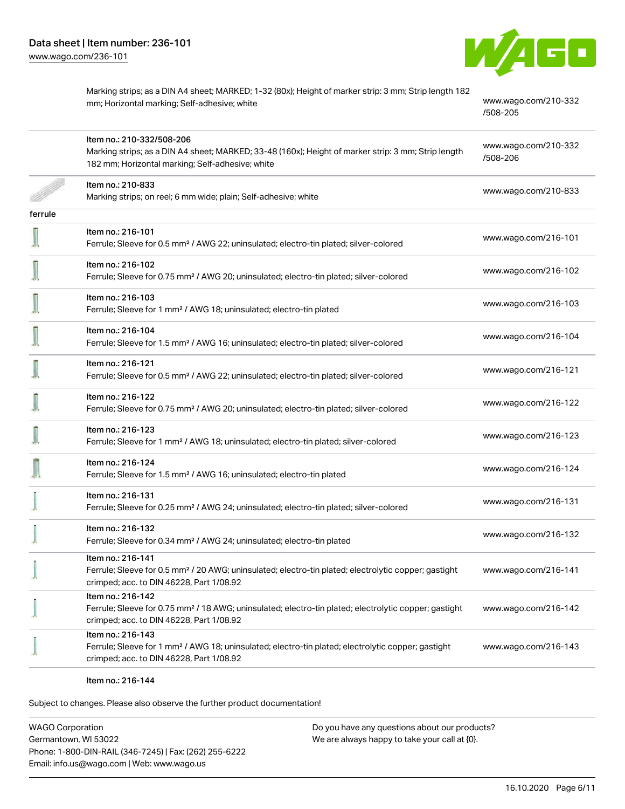

Marking strips; as a DIN A4 sheet; MARKED; 1-32 (80x); Height of marker strip: 3 mm; Strip length 182 mm; Horizontal marking; Self-adhesive; white [www.wago.com/210-332](http://www.wago.com/210-332/508-205) [/508-205](http://www.wago.com/210-332/508-205) Item no.: 210-332/508-206 Marking strips; as a DIN A4 sheet; MARKED; 33-48 (160x); Height of marker strip: 3 mm; Strip length 182 mm; Horizontal marking; Self-adhesive; white [www.wago.com/210-332](http://www.wago.com/210-332/508-206) [/508-206](http://www.wago.com/210-332/508-206) Item no.: 210-833 Marking strips; on reel; 6 mm wide; plain; Self-adhesive; white [www.wago.com/210-833](http://www.wago.com/210-833)<br>Marking strips; on reel; 6 mm wide; plain; Self-adhesive; white ferrule Item no.: 216-101 Ferrule; Sleeve for 0.5 mm² / AWG 22; uninsulated; electro-tin plated; silver-colored [www.wago.com/216-101](http://www.wago.com/216-101) Item no.: 216-102 Ferrule; Sleeve for 0.75 mm² / AWG 20; uninsulated; electro-tin plated; silver-colored [www.wago.com/216-102](http://www.wago.com/216-102) Item no.: 216-103 Ferrule; Sleeve for 1 mm² / AWG 18; uninsulated; electro-tin plated [www.wago.com/216-103](http://www.wago.com/216-103) Item no.: 216-104 Ferrule; Sleeve for 1.5 mm² / AWG 16; uninsulated; electro-tin plated; silver-colored [www.wago.com/216-104](http://www.wago.com/216-104) Item no.: 216-121 Ferrule; Sleeve for 0.5 mm² / AWG 22; uninsulated; electro-tin plated; silver-colored [www.wago.com/216-121](http://www.wago.com/216-121) Item no.: 216-122 Ferrule; Sleeve for 0.75 mm² / AWG 20; uninsulated; electro-tin plated; silver-colored [www.wago.com/216-122](http://www.wago.com/216-122) Item no.: 216-123 Ferrule; Sleeve for 1 mm² / AWG 18; uninsulated; electro-tin plated; silver-colored [www.wago.com/216-123](http://www.wago.com/216-123) Item no.: 216-124 Ferrule; Sleeve for 1.5 mm<sup>2</sup> / AWG 16; uninsulated; electro-tin plated [www.wago.com/216-124](http://www.wago.com/216-124) Item no.: 216-131 Ferrule; Sleeve for 0.25 mm² / AWG 24; uninsulated; electro-tin plated; silver-colored [www.wago.com/216-131](http://www.wago.com/216-131) Item no.: 216-132 Ferrule; Sleeve for 0.34 mm² / AWG 24; uninsulated; electro-tin plated [www.wago.com/216-132](http://www.wago.com/216-132) Item no.: 216-141 Ferrule; Sleeve for 0.5 mm² / 20 AWG; uninsulated; electro-tin plated; electrolytic copper; gastight crimped; acc. to DIN 46228, Part 1/08.92 [www.wago.com/216-141](http://www.wago.com/216-141) Item no.: 216-142 Ferrule; Sleeve for 0.75 mm<sup>2</sup> / 18 AWG; uninsulated; electro-tin plated; electrolytic copper; gastight crimped; acc. to DIN 46228, Part 1/08.92 [www.wago.com/216-142](http://www.wago.com/216-142) Item no.: 216-143 Ferrule; Sleeve for 1 mm² / AWG 18; uninsulated; electro-tin plated; electrolytic copper; gastight crimped; acc. to DIN 46228, Part 1/08.92 [www.wago.com/216-143](http://www.wago.com/216-143)

Item no.: 216-144

Subject to changes. Please also observe the further product documentation!

WAGO Corporation Germantown, WI 53022 Phone: 1-800-DIN-RAIL (346-7245) | Fax: (262) 255-6222 Email: info.us@wago.com | Web: www.wago.us Do you have any questions about our products? We are always happy to take your call at {0}.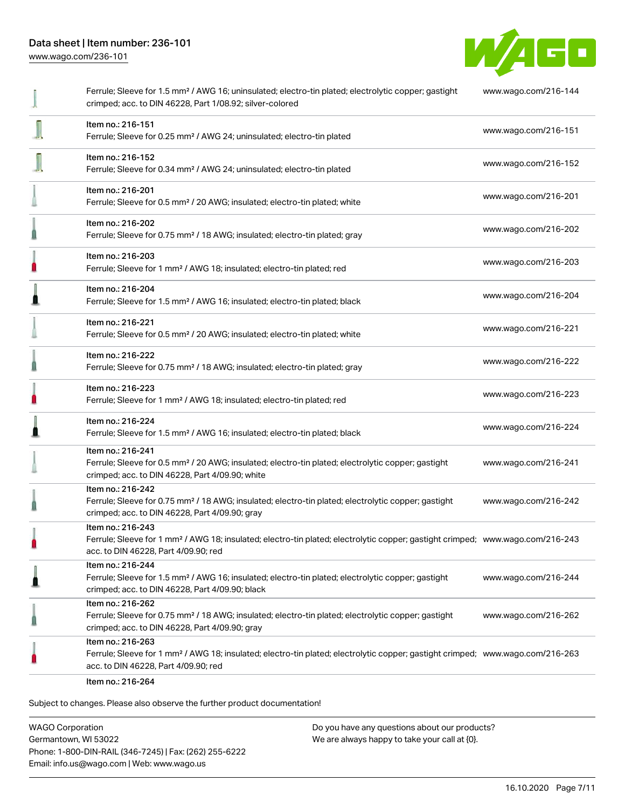

|   | Ferrule; Sleeve for 1.5 mm <sup>2</sup> / AWG 16; uninsulated; electro-tin plated; electrolytic copper; gastight<br>crimped; acc. to DIN 46228, Part 1/08.92; silver-colored                            | www.wago.com/216-144 |
|---|---------------------------------------------------------------------------------------------------------------------------------------------------------------------------------------------------------|----------------------|
|   | Item no.: 216-151<br>Ferrule; Sleeve for 0.25 mm <sup>2</sup> / AWG 24; uninsulated; electro-tin plated                                                                                                 | www.wago.com/216-151 |
|   | Item no.: 216-152<br>Ferrule; Sleeve for 0.34 mm <sup>2</sup> / AWG 24; uninsulated; electro-tin plated                                                                                                 | www.wago.com/216-152 |
|   | Item no.: 216-201<br>Ferrule; Sleeve for 0.5 mm <sup>2</sup> / 20 AWG; insulated; electro-tin plated; white                                                                                             | www.wago.com/216-201 |
|   | Item no.: 216-202<br>Ferrule; Sleeve for 0.75 mm <sup>2</sup> / 18 AWG; insulated; electro-tin plated; gray                                                                                             | www.wago.com/216-202 |
| ı | Item no.: 216-203<br>Ferrule; Sleeve for 1 mm <sup>2</sup> / AWG 18; insulated; electro-tin plated; red                                                                                                 | www.wago.com/216-203 |
| ß | Item no.: 216-204<br>Ferrule; Sleeve for 1.5 mm <sup>2</sup> / AWG 16; insulated; electro-tin plated; black                                                                                             | www.wago.com/216-204 |
|   | Item no.: 216-221<br>Ferrule; Sleeve for 0.5 mm <sup>2</sup> / 20 AWG; insulated; electro-tin plated; white                                                                                             | www.wago.com/216-221 |
|   | Item no.: 216-222<br>Ferrule; Sleeve for 0.75 mm <sup>2</sup> / 18 AWG; insulated; electro-tin plated; gray                                                                                             | www.wago.com/216-222 |
| n | Item no.: 216-223<br>Ferrule; Sleeve for 1 mm <sup>2</sup> / AWG 18; insulated; electro-tin plated; red                                                                                                 | www.wago.com/216-223 |
| Ω | Item no.: 216-224<br>Ferrule; Sleeve for 1.5 mm <sup>2</sup> / AWG 16; insulated; electro-tin plated; black                                                                                             | www.wago.com/216-224 |
|   | Item no.: 216-241<br>Ferrule; Sleeve for 0.5 mm <sup>2</sup> / 20 AWG; insulated; electro-tin plated; electrolytic copper; gastight<br>crimped; acc. to DIN 46228, Part 4/09.90; white                  | www.wago.com/216-241 |
|   | Item no.: 216-242<br>Ferrule; Sleeve for 0.75 mm <sup>2</sup> / 18 AWG; insulated; electro-tin plated; electrolytic copper; gastight<br>crimped; acc. to DIN 46228, Part 4/09.90; gray                  | www.wago.com/216-242 |
|   | Item no.: 216-243<br>Ferrule; Sleeve for 1 mm <sup>2</sup> / AWG 18; insulated; electro-tin plated; electrolytic copper; gastight crimped; www.wago.com/216-243<br>acc. to DIN 46228, Part 4/09.90; red |                      |
| ≞ | Item no.: 216-244<br>Ferrule; Sleeve for 1.5 mm <sup>2</sup> / AWG 16; insulated; electro-tin plated; electrolytic copper; gastight<br>crimped; acc. to DIN 46228, Part 4/09.90; black                  | www.wago.com/216-244 |
|   | Item no.: 216-262<br>Ferrule; Sleeve for 0.75 mm <sup>2</sup> / 18 AWG; insulated; electro-tin plated; electrolytic copper; gastight<br>crimped; acc. to DIN 46228, Part 4/09.90; gray                  | www.wago.com/216-262 |
|   | Item no.: 216-263<br>Ferrule; Sleeve for 1 mm <sup>2</sup> / AWG 18; insulated; electro-tin plated; electrolytic copper; gastight crimped; www.wago.com/216-263<br>acc. to DIN 46228, Part 4/09.90; red |                      |
|   | Item no.: 216-264                                                                                                                                                                                       |                      |

Subject to changes. Please also observe the further product documentation!

WAGO Corporation Germantown, WI 53022 Phone: 1-800-DIN-RAIL (346-7245) | Fax: (262) 255-6222 Email: info.us@wago.com | Web: www.wago.us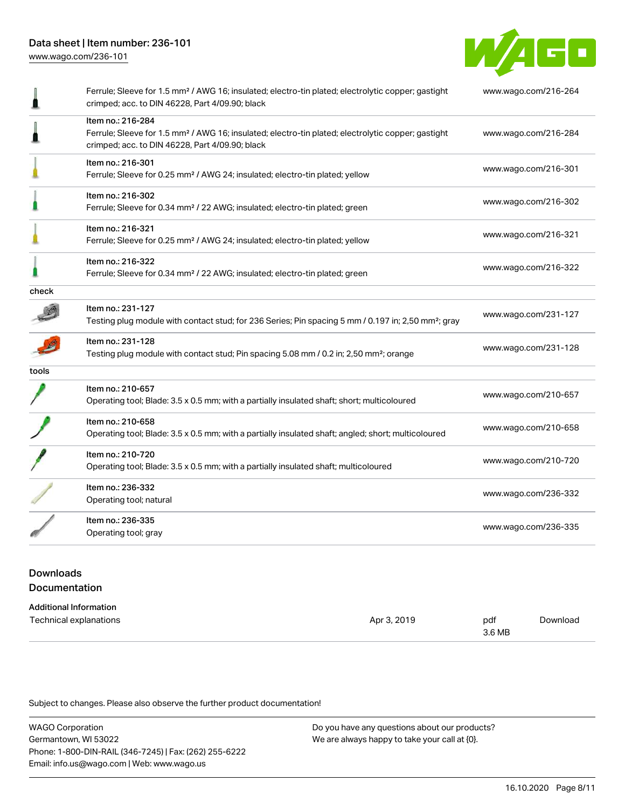

|       | Ferrule; Sleeve for 1.5 mm <sup>2</sup> / AWG 16; insulated; electro-tin plated; electrolytic copper; gastight<br>crimped; acc. to DIN 46228, Part 4/09.90; black                      | www.wago.com/216-264 |
|-------|----------------------------------------------------------------------------------------------------------------------------------------------------------------------------------------|----------------------|
|       | Item no.: 216-284<br>Ferrule; Sleeve for 1.5 mm <sup>2</sup> / AWG 16; insulated; electro-tin plated; electrolytic copper; gastight<br>crimped; acc. to DIN 46228, Part 4/09.90; black | www.wago.com/216-284 |
|       | Item no.: 216-301<br>Ferrule; Sleeve for 0.25 mm <sup>2</sup> / AWG 24; insulated; electro-tin plated; yellow                                                                          | www.wago.com/216-301 |
|       | Item no.: 216-302<br>Ferrule; Sleeve for 0.34 mm <sup>2</sup> / 22 AWG; insulated; electro-tin plated; green                                                                           | www.wago.com/216-302 |
|       | Item no.: 216-321<br>Ferrule; Sleeve for 0.25 mm <sup>2</sup> / AWG 24; insulated; electro-tin plated; yellow                                                                          | www.wago.com/216-321 |
|       | Item no.: 216-322<br>Ferrule; Sleeve for 0.34 mm <sup>2</sup> / 22 AWG; insulated; electro-tin plated; green                                                                           | www.wago.com/216-322 |
| check |                                                                                                                                                                                        |                      |
|       | Item no.: 231-127<br>Testing plug module with contact stud; for 236 Series; Pin spacing 5 mm / 0.197 in; 2,50 mm <sup>2</sup> ; gray                                                   | www.wago.com/231-127 |
|       | Item no.: 231-128<br>Testing plug module with contact stud; Pin spacing 5.08 mm / 0.2 in; 2,50 mm <sup>2</sup> ; orange                                                                | www.wago.com/231-128 |
| tools |                                                                                                                                                                                        |                      |
|       | Item no.: 210-657<br>Operating tool; Blade: 3.5 x 0.5 mm; with a partially insulated shaft; short; multicoloured                                                                       | www.wago.com/210-657 |
|       | Item no.: 210-658<br>Operating tool; Blade: 3.5 x 0.5 mm; with a partially insulated shaft; angled; short; multicoloured                                                               | www.wago.com/210-658 |
|       | Item no.: 210-720<br>Operating tool; Blade: 3.5 x 0.5 mm; with a partially insulated shaft; multicoloured                                                                              | www.wago.com/210-720 |
|       | Item no.: 236-332<br>Operating tool; natural                                                                                                                                           | www.wago.com/236-332 |
|       | Item no.: 236-335<br>Operating tool; gray                                                                                                                                              | www.wago.com/236-335 |

# Downloads Documentation

| <b>Additional Information</b> |             |               |          |
|-------------------------------|-------------|---------------|----------|
| Technical explanations        | Apr 3, 2019 | pdf<br>3.6 MB | Download |

Subject to changes. Please also observe the further product documentation!

WAGO Corporation Germantown, WI 53022 Phone: 1-800-DIN-RAIL (346-7245) | Fax: (262) 255-6222 Email: info.us@wago.com | Web: www.wago.us Do you have any questions about our products? We are always happy to take your call at {0}.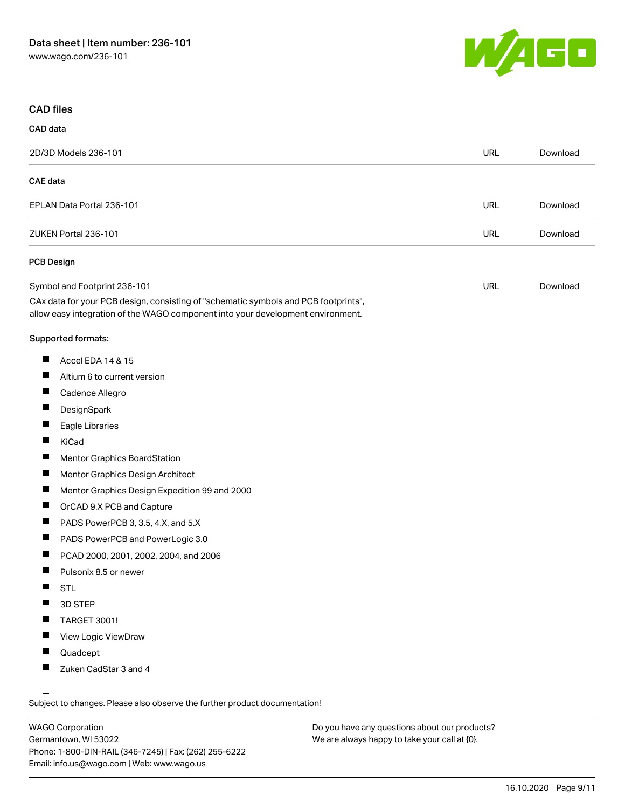

# CAD files

### CAD data

| 2D/3D Models 236-101                                                                                                                                                   | <b>URL</b> | Download |
|------------------------------------------------------------------------------------------------------------------------------------------------------------------------|------------|----------|
| CAE data                                                                                                                                                               |            |          |
| EPLAN Data Portal 236-101                                                                                                                                              | <b>URL</b> | Download |
| ZUKEN Portal 236-101                                                                                                                                                   | <b>URL</b> | Download |
| <b>PCB Design</b>                                                                                                                                                      |            |          |
| Symbol and Footprint 236-101                                                                                                                                           | <b>URL</b> | Download |
| CAx data for your PCB design, consisting of "schematic symbols and PCB footprints",<br>allow easy integration of the WAGO component into your development environment. |            |          |
| Supported formats:                                                                                                                                                     |            |          |
| Ш<br>Accel EDA 14 & 15                                                                                                                                                 |            |          |
| ш<br>Altium 6 to current version                                                                                                                                       |            |          |
| Ш<br>Cadence Allegro                                                                                                                                                   |            |          |
| ш<br>DesignSpark                                                                                                                                                       |            |          |
| Ш<br>Eagle Libraries                                                                                                                                                   |            |          |
| ш<br>KiCad                                                                                                                                                             |            |          |
| $\overline{\phantom{a}}$<br>Mentor Graphics BoardStation                                                                                                               |            |          |
| ш<br>Mentor Graphics Design Architect                                                                                                                                  |            |          |
| ш<br>Mentor Graphics Design Expedition 99 and 2000                                                                                                                     |            |          |
| OrCAD 9.X PCB and Capture                                                                                                                                              |            |          |
| ш<br>PADS PowerPCB 3, 3.5, 4.X, and 5.X                                                                                                                                |            |          |
| ш<br>PADS PowerPCB and PowerLogic 3.0                                                                                                                                  |            |          |
| H<br>PCAD 2000, 2001, 2002, 2004, and 2006                                                                                                                             |            |          |
| $\blacksquare$<br>Pulsonix 8.5 or newer                                                                                                                                |            |          |
| П<br><b>STL</b>                                                                                                                                                        |            |          |
| 3D STEP<br><b>The State</b>                                                                                                                                            |            |          |
| TARGET 3001!                                                                                                                                                           |            |          |
| П<br>View Logic ViewDraw                                                                                                                                               |            |          |
| $\blacksquare$<br>Quadcept                                                                                                                                             |            |          |
| H<br>Zuken CadStar 3 and 4                                                                                                                                             |            |          |
|                                                                                                                                                                        |            |          |

Subject to changes. Please also observe the further product documentation!

WAGO Corporation Germantown, WI 53022 Phone: 1-800-DIN-RAIL (346-7245) | Fax: (262) 255-6222 Email: info.us@wago.com | Web: www.wago.us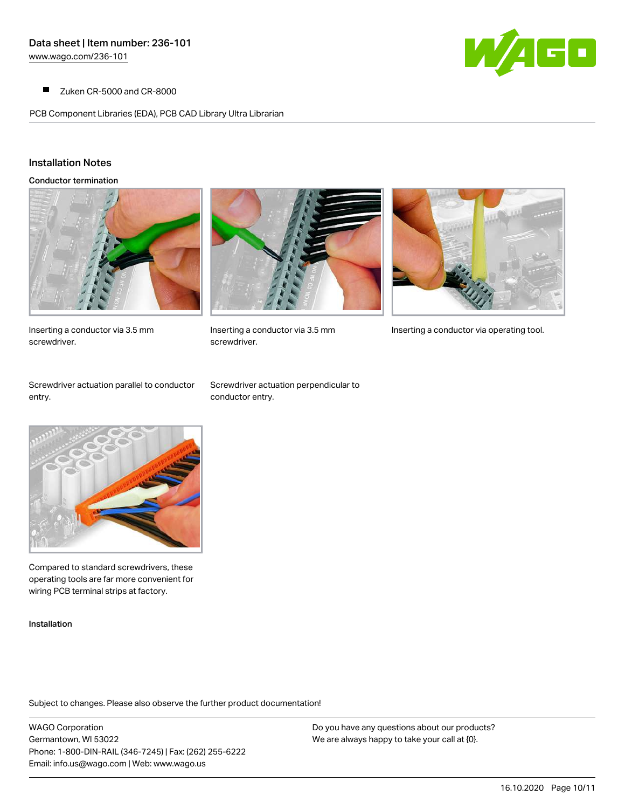$\blacksquare$ Zuken CR-5000 and CR-8000

PCB Component Libraries (EDA), PCB CAD Library Ultra Librarian



### Installation Notes

Conductor termination



Inserting a conductor via 3.5 mm screwdriver.



screwdriver.



Inserting a conductor via 3.5 mm Inserting a conductor via operating tool.

Screwdriver actuation parallel to conductor entry.

Screwdriver actuation perpendicular to conductor entry.



Compared to standard screwdrivers, these operating tools are far more convenient for wiring PCB terminal strips at factory.

Installation

Subject to changes. Please also observe the further product documentation!

WAGO Corporation Germantown, WI 53022 Phone: 1-800-DIN-RAIL (346-7245) | Fax: (262) 255-6222 Email: info.us@wago.com | Web: www.wago.us